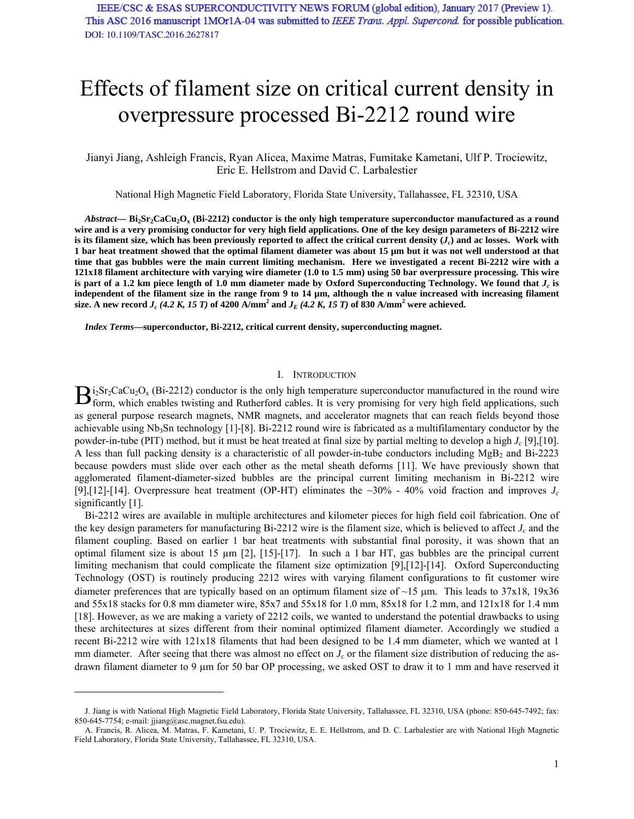# Effects of filament size on critical current density in overpressure processed Bi-2212 round wire

Jianyi Jiang, Ashleigh Francis, Ryan Alicea, Maxime Matras, Fumitake Kametani, Ulf P. Trociewitz, Eric E. Hellstrom and David C. Larbalestier

National High Magnetic Field Laboratory, Florida State University, Tallahassee, FL 32310, USA

Abstract— Bi<sub>2</sub>Sr<sub>2</sub>CaCu<sub>2</sub>O<sub>x</sub> (Bi-2212) conductor is the only high temperature superconductor manufactured as a round **wire and is a very promising conductor for very high field applications. One of the key design parameters of Bi-2212 wire**  is its filament size, which has been previously reported to affect the critical current density  $(J_c)$  and ac losses. Work with **1 bar heat treatment showed that the optimal filament diameter was about 15 µm but it was not well understood at that time that gas bubbles were the main current limiting mechanism. Here we investigated a recent Bi-2212 wire with a 121x18 filament architecture with varying wire diameter (1.0 to 1.5 mm) using 50 bar overpressure processing. This wire**  is part of a 1.2 km piece length of 1.0 mm diameter made by Oxford Superconducting Technology. We found that  $J_c$  is independent of the filament size in the range from 9 to 14  $\mu$ m, although the n value increased with increasing filament **size.** A new record  $J_c$  (4.2 K, 15 T) of 4200 A/mm<sup>2</sup> and  $J_E$  (4.2 K, 15 T) of 830 A/mm<sup>2</sup> were achieved.

*Index Terms***—superconductor, Bi-2212, critical current density, superconducting magnet.** 

## I. INTRODUCTION

 $i_2Sr_2CaCu_2O_x$  (Bi-2212) conductor is the only high temperature superconductor manufactured in the round wire  $B_{\text{form, which enables twisting and Rutherford cables. It is very promising for very high field applications, such that the model is not possible.}$ as general purpose research magnets, NMR magnets, and accelerator magnets that can reach fields beyond those achievable using Nb<sub>3</sub>Sn technology [1]-[8]. Bi-2212 round wire is fabricated as a multifilamentary conductor by the powder-in-tube (PIT) method, but it must be heat treated at final size by partial melting to develop a high *Jc* [9],[10]. A less than full packing density is a characteristic of all powder-in-tube conductors including  $MgB_2$  and Bi-2223 because powders must slide over each other as the metal sheath deforms [11]. We have previously shown that agglomerated filament-diameter-sized bubbles are the principal current limiting mechanism in Bi-2212 wire [9],[12]-[14]. Overpressure heat treatment (OP-HT) eliminates the  $\sim$ 30% - 40% void fraction and improves  $J_c$ significantly [1].

Bi-2212 wires are available in multiple architectures and kilometer pieces for high field coil fabrication. One of the key design parameters for manufacturing Bi-2212 wire is the filament size, which is believed to affect  $J_c$  and the filament coupling. Based on earlier 1 bar heat treatments with substantial final porosity, it was shown that an optimal filament size is about 15 µm [2], [15]-[17]. In such a 1 bar HT, gas bubbles are the principal current limiting mechanism that could complicate the filament size optimization [9],[12]-[14]. Oxford Superconducting Technology (OST) is routinely producing 2212 wires with varying filament configurations to fit customer wire diameter preferences that are typically based on an optimum filament size of  $\sim$ 15  $\mu$ m. This leads to 37x18, 19x36 and 55x18 stacks for 0.8 mm diameter wire, 85x7 and 55x18 for 1.0 mm, 85x18 for 1.2 mm, and 121x18 for 1.4 mm [18]. However, as we are making a variety of 2212 coils, we wanted to understand the potential drawbacks to using these architectures at sizes different from their nominal optimized filament diameter. Accordingly we studied a recent Bi-2212 wire with 121x18 filaments that had been designed to be 1.4 mm diameter, which we wanted at 1 mm diameter. After seeing that there was almost no effect on  $J_c$  or the filament size distribution of reducing the asdrawn filament diameter to 9 um for 50 bar OP processing, we asked OST to draw it to 1 mm and have reserved it

J. Jiang is with National High Magnetic Field Laboratory, Florida State University, Tallahassee, FL 32310, USA (phone: 850-645-7492; fax: 850-645-7754; e-mail: jjiang@asc.magnet.fsu.edu).

A. Francis, R. Alicea, M. Matras, F. Kametani, U. P. Trociewitz, E. E. Hellstrom, and D. C. Larbalestier are with National High Magnetic Field Laboratory, Florida State University, Tallahassee, FL 32310, USA.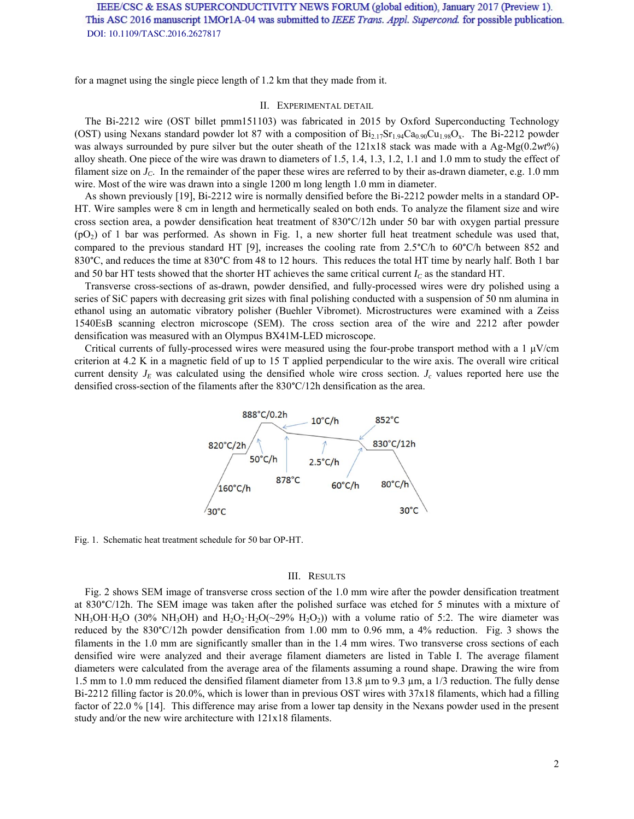for a magnet using the single piece length of 1.2 km that they made from it.

### II. EXPERIMENTAL DETAIL

The Bi-2212 wire (OST billet pmm151103) was fabricated in 2015 by Oxford Superconducting Technology (OST) using Nexans standard powder lot 87 with a composition of  $Bi_{2.17}Sr_{1.94}Ca_{0.90}Cu_{1.98}O_x$ . The Bi-2212 powder was always surrounded by pure silver but the outer sheath of the 121x18 stack was made with a Ag-Mg(0.2*wt*%) alloy sheath. One piece of the wire was drawn to diameters of 1.5, 1.4, 1.3, 1.2, 1.1 and 1.0 mm to study the effect of filament size on *JC*. In the remainder of the paper these wires are referred to by their as-drawn diameter, e.g. 1.0 mm wire. Most of the wire was drawn into a single 1200 m long length 1.0 mm in diameter.

As shown previously [19], Bi-2212 wire is normally densified before the Bi-2212 powder melts in a standard OP-HT. Wire samples were 8 cm in length and hermetically sealed on both ends. To analyze the filament size and wire cross section area, a powder densification heat treatment of 830°C/12h under 50 bar with oxygen partial pressure  $(pO<sub>2</sub>)$  of 1 bar was performed. As shown in Fig. 1, a new shorter full heat treatment schedule was used that, compared to the previous standard HT [9], increases the cooling rate from 2.5°C/h to 60°C/h between 852 and 830°C, and reduces the time at 830°C from 48 to 12 hours. This reduces the total HT time by nearly half. Both 1 bar and 50 bar HT tests showed that the shorter HT achieves the same critical current  $I_c$  as the standard HT.

Transverse cross-sections of as-drawn, powder densified, and fully-processed wires were dry polished using a series of SiC papers with decreasing grit sizes with final polishing conducted with a suspension of 50 nm alumina in ethanol using an automatic vibratory polisher (Buehler Vibromet). Microstructures were examined with a Zeiss 1540EsB scanning electron microscope (SEM). The cross section area of the wire and 2212 after powder densification was measured with an Olympus BX41M-LED microscope.

Critical currents of fully-processed wires were measured using the four-probe transport method with a 1  $\mu$ V/cm criterion at 4.2 K in a magnetic field of up to 15 T applied perpendicular to the wire axis. The overall wire critical current density  $J_E$  was calculated using the densified whole wire cross section.  $J_c$  values reported here use the densified cross-section of the filaments after the 830°C/12h densification as the area.



Fig. 1. Schematic heat treatment schedule for 50 bar OP-HT.

#### III. RESULTS

Fig. 2 shows SEM image of transverse cross section of the 1.0 mm wire after the powder densification treatment at 830°C/12h. The SEM image was taken after the polished surface was etched for 5 minutes with a mixture of NH<sub>3</sub>OH·H<sub>2</sub>O (30% NH<sub>3</sub>OH) and H<sub>2</sub>O<sub>2</sub>·H<sub>2</sub>O( $\sim$ 29% H<sub>2</sub>O<sub>2</sub>)) with a volume ratio of 5:2. The wire diameter was reduced by the 830°C/12h powder densification from 1.00 mm to 0.96 mm, a 4% reduction. Fig. 3 shows the filaments in the 1.0 mm are significantly smaller than in the 1.4 mm wires. Two transverse cross sections of each densified wire were analyzed and their average filament diameters are listed in Table I. The average filament diameters were calculated from the average area of the filaments assuming a round shape. Drawing the wire from 1.5 mm to 1.0 mm reduced the densified filament diameter from 13.8  $\mu$ m to 9.3  $\mu$ m, a 1/3 reduction. The fully dense Bi-2212 filling factor is 20.0%, which is lower than in previous OST wires with 37x18 filaments, which had a filling factor of 22.0 % [14]. This difference may arise from a lower tap density in the Nexans powder used in the present study and/or the new wire architecture with 121x18 filaments.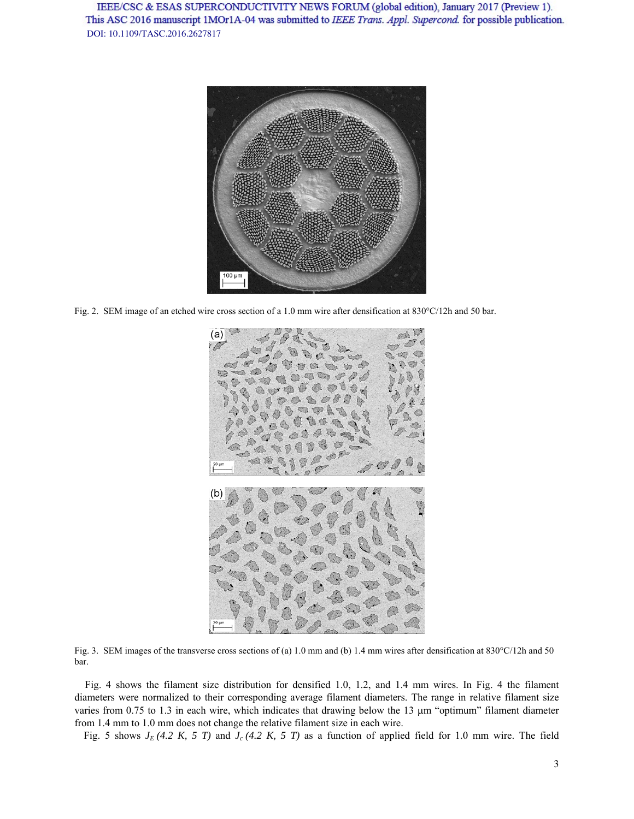

Fig. 2. SEM image of an etched wire cross section of a 1.0 mm wire after densification at  $830^{\circ}$ C/12h and 50 bar.



Fig. 3. SEM images of the transverse cross sections of (a) 1.0 mm and (b) 1.4 mm wires after densification at 830°C/12h and 50 bar.

Fig. 4 shows the filament size distribution for densified 1.0, 1.2, and 1.4 mm wires. In Fig. 4 the filament diameters were normalized to their corresponding average filament diameters. The range in relative filament size varies from 0.75 to 1.3 in each wire, which indicates that drawing below the 13  $\mu$ m "optimum" filament diameter from 1.4 mm to 1.0 mm does not change the relative filament size in each wire.

Fig. 5 shows  $J_E$  (4.2 K, 5 T) and  $J_c$  (4.2 K, 5 T) as a function of applied field for 1.0 mm wire. The field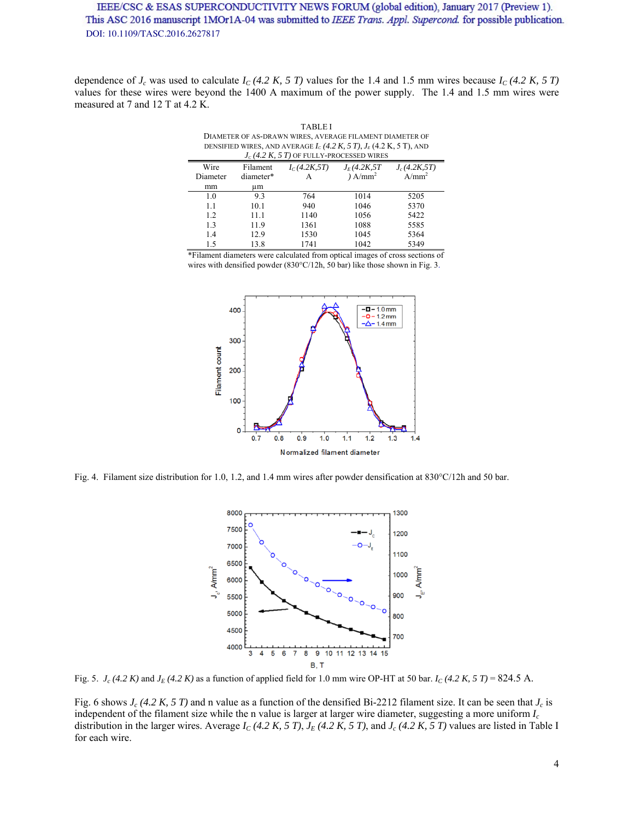dependence of  $J_c$  was used to calculate  $I_c$  (4.2 K, 5 T) values for the 1.4 and 1.5 mm wires because  $I_c$  (4.2 K, 5 T) values for these wires were beyond the 1400 A maximum of the power supply. The 1.4 and 1.5 mm wires were measured at 7 and 12 T at 4.2 K.

TABLE I DIAMETER OF AS-DRAWN WIRES, AVERAGE FILAMENT DIAMETER OF DENSIFIED WIRES, AND AVERAGE  $I_c$  (4.2 K, 5 T),  $J_E$  (4.2 K, 5 T), AND  $J_c$  (4.2 K, 5 T) OF FULLY-PROCESSED WIRES

| Filament  | $I_C(4.2K, 5T)$ | $J_E(4.2K, 5T)$   | $J_c(4.2K, 5T)$ |
|-----------|-----------------|-------------------|-----------------|
| diameter* |                 | A/mm <sup>2</sup> | $A/mm^2$        |
| иm        |                 |                   |                 |
| 9.3       | 764             | 1014              | 5205            |
| 10.1      | 940             | 1046              | 5370            |
| 11.1      | 1140            | 1056              | 5422            |
| 11.9      | 1361            | 1088              | 5585            |
| 12.9      | 1530            | 1045              | 5364            |
| 13.8      | 1741            | 1042              | 5349            |
|           |                 |                   |                 |

\*Filament diameters were calculated from optical images of cross sections of wires with densified powder (830°C/12h, 50 bar) like those shown in Fig. 3.



Fig. 4. Filament size distribution for 1.0, 1.2, and 1.4 mm wires after powder densification at  $830^{\circ}$ C/12h and 50 bar.



Fig. 5.  $J_c$  (4.2 K) and  $J_E$  (4.2 K) as a function of applied field for 1.0 mm wire OP-HT at 50 bar.  $I_c$  (4.2 K, 5 T) = 824.5 A.

Fig. 6 shows *Jc (4.2 K, 5 T)* and n value as a function of the densified Bi-2212 filament size. It can be seen that *Jc* is independent of the filament size while the n value is larger at larger wire diameter, suggesting a more uniform *Ic* distribution in the larger wires. Average  $I_C$  (4.2 K, 5 T),  $J_E$  (4.2 K, 5 T), and  $J_c$  (4.2 K, 5 T) values are listed in Table I for each wire.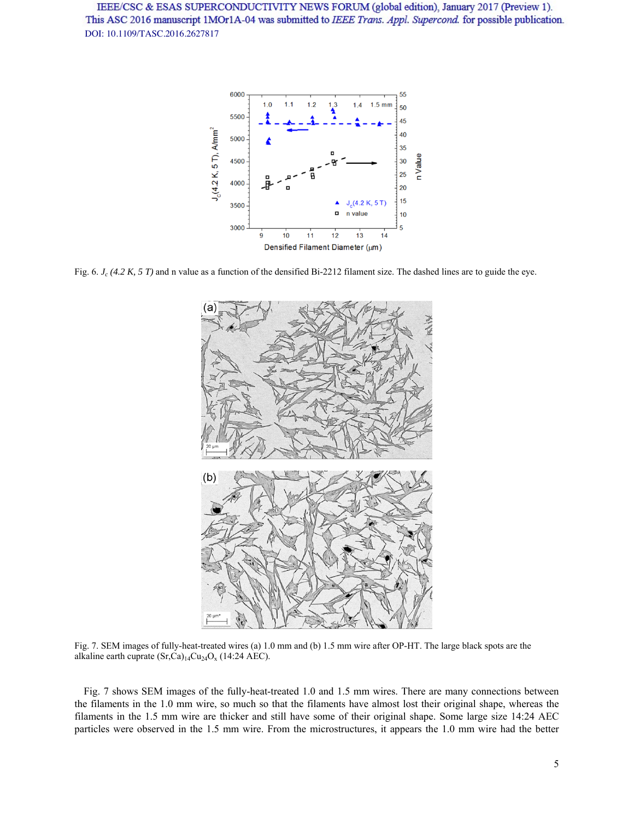

Fig. 6. *J<sub>c</sub>* (4.2 K, 5 T) and n value as a function of the densified Bi-2212 filament size. The dashed lines are to guide the eye.



Fig. 7. SEM images of fully-heat-treated wires (a) 1.0 mm and (b) 1.5 mm wire after OP-HT. The large black spots are the alkaline earth cuprate  $(Sr,Ca)_{14}Cu_{24}O_x$  (14:24 AEC).

Fig. 7 shows SEM images of the fully-heat-treated 1.0 and 1.5 mm wires. There are many connections between the filaments in the 1.0 mm wire, so much so that the filaments have almost lost their original shape, whereas the filaments in the 1.5 mm wire are thicker and still have some of their original shape. Some large size 14:24 AEC particles were observed in the 1.5 mm wire. From the microstructures, it appears the 1.0 mm wire had the better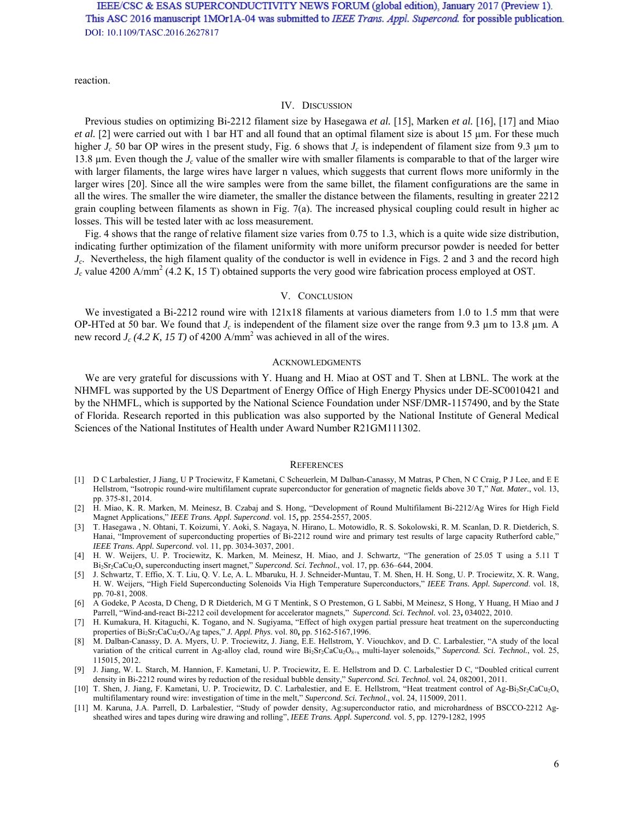reaction.

#### IV. DISCUSSION

Previous studies on optimizing Bi-2212 filament size by Hasegawa *et al.* [15], Marken *et al.* [16], [17] and Miao *et al.* [2] were carried out with 1 bar HT and all found that an optimal filament size is about 15  $\mu$ m. For these much higher *J<sub>c</sub>* 50 bar OP wires in the present study, Fig. 6 shows that *J<sub>c</sub>* is independent of filament size from 9.3 µm to 13.8 µm. Even though the *Jc* value of the smaller wire with smaller filaments is comparable to that of the larger wire with larger filaments, the large wires have larger n values, which suggests that current flows more uniformly in the larger wires [20]. Since all the wire samples were from the same billet, the filament configurations are the same in all the wires. The smaller the wire diameter, the smaller the distance between the filaments, resulting in greater 2212 grain coupling between filaments as shown in Fig. 7(a). The increased physical coupling could result in higher ac losses. This will be tested later with ac loss measurement.

Fig. 4 shows that the range of relative filament size varies from 0.75 to 1.3, which is a quite wide size distribution, indicating further optimization of the filament uniformity with more uniform precursor powder is needed for better *Jc*. Nevertheless, the high filament quality of the conductor is well in evidence in Figs. 2 and 3 and the record high  $J_c$  value 4200 A/mm<sup>2</sup> (4.2 K, 15 T) obtained supports the very good wire fabrication process employed at OST.

## V. CONCLUSION

We investigated a Bi-2212 round wire with  $121x18$  filaments at various diameters from 1.0 to 1.5 mm that were OP-HTed at 50 bar. We found that *Jc* is independent of the filament size over the range from 9.3 µm to 13.8 µm. A new record  $J_c$  (4.2 K, 15 T) of 4200 A/mm<sup>2</sup> was achieved in all of the wires.

#### ACKNOWLEDGMENTS

We are very grateful for discussions with Y. Huang and H. Miao at OST and T. Shen at LBNL. The work at the NHMFL was supported by the US Department of Energy Office of High Energy Physics under DE-SC0010421 and by the NHMFL, which is supported by the National Science Foundation under NSF/DMR-1157490, and by the State of Florida. Research reported in this publication was also supported by the National Institute of General Medical Sciences of the National Institutes of Health under Award Number R21GM111302.

#### **REFERENCES**

- [1] D C Larbalestier, J Jiang, U P Trociewitz, F Kametani, C Scheuerlein, M Dalban-Canassy, M Matras, P Chen, N C Craig, P J Lee, and E E Hellstrom, "Isotropic round-wire multifilament cuprate superconductor for generation of magnetic fields above 30 T," *Nat. Mater.*, vol. 13, pp. 375-81, 2014.
- [2] H. Miao, K. R. Marken, M. Meinesz, B. Czabaj and S. Hong, "Development of Round Multifilament Bi-2212/Ag Wires for High Field Magnet Applications," *IEEE Trans. Appl. Supercond*. vol. 15**,** pp. 2554-2557, 2005.
- [3] T. Hasegawa , N. Ohtani, T. Koizumi, Y. Aoki, S. Nagaya, N. Hirano, L. Motowidlo, R. S. Sokolowski, R. M. Scanlan, D. R. Dietderich, S. Hanai, "Improvement of superconducting properties of Bi-2212 round wire and primary test results of large capacity Rutherford cable," *IEEE Trans. Appl. Supercond*. vol. 11, pp. 3034-3037, 2001.
- [4] H. W. Weijers, U. P. Trociewitz, K. Marken, M. Meinesz, H. Miao, and J. Schwartz, "The generation of 25.05 T using a 5.11 T Bi2Sr2CaCu2Ox superconducting insert magnet," *Supercond. Sci. Technol.*, vol. 17, pp. 636–644, 2004.
- [5] J. Schwartz, T. Effio, X. T. Liu, Q. V. Le, A. L. Mbaruku, H. J. Schneider-Muntau, T. M. Shen, H. H. Song, U. P. Trociewitz, X. R. Wang, H. W. Weijers, "High Field Superconducting Solenoids Via High Temperature Superconductors," *IEEE Trans. Appl. Supercond*. vol. 18, pp. 70-81, 2008.
- [6] A Godeke, P Acosta, D Cheng, D R Dietderich, M G T Mentink, S O Prestemon, G L Sabbi, M Meinesz, S Hong, Y Huang, H Miao and J Parrell, "Wind-and-react Bi-2212 coil development for accelerator magnets," *Supercond. Sci. Technol.* vol. 23**,** 034022, 2010.
- [7] H. Kumakura, H. Kitaguchi, K. Togano, and N. Sugiyama, "Effect of high oxygen partial pressure heat treatment on the superconducting properties of Bi2Sr2CaCu2Ox/Ag tapes," *J. Appl. Phys*. vol. 80**,** pp. 5162-5167,1996.
- [8] M. Dalban-Canassy, D. A. Myers, U. P. Trociewitz, J. Jiang, E.E. Hellstrom, Y. Viouchkov, and D. C. Larbalestier, "A study of the local variation of the critical current in Ag-alloy clad, round wire Bi<sub>2</sub>Sr<sub>2</sub>CaCu<sub>2</sub>O<sub>8+x</sub> multi-layer solenoids," Supercond. Sci. Technol., vol. 25, 115015, 2012.
- [9] J. Jiang, W. L. Starch, M. Hannion, F. Kametani, U. P. Trociewitz, E. E. Hellstrom and D. C. Larbalestier D C, "Doubled critical current density in Bi-2212 round wires by reduction of the residual bubble density," *Supercond. Sci. Technol.* vol. 24, 082001, 2011.
- [10] T. Shen, J. Jiang, F. Kametani, U. P. Trociewitz, D. C. Larbalestier, and E. E. Hellstrom, "Heat treatment control of Ag-Bi<sub>2</sub>Sr<sub>2</sub>CaCu<sub>2</sub>O<sub>x</sub> multifilamentary round wire: investigation of time in the melt," *Supercond. Sci. Technol.*, vol. 24, 115009, 2011.
- [11] M. Karuna, J.A. Parrell, D. Larbalestier, "Study of powder density, Ag:superconductor ratio, and microhardness of BSCCO-2212 Agsheathed wires and tapes during wire drawing and rolling", *IEEE Trans. Appl. Supercond.* vol. 5, pp. 1279-1282, 1995